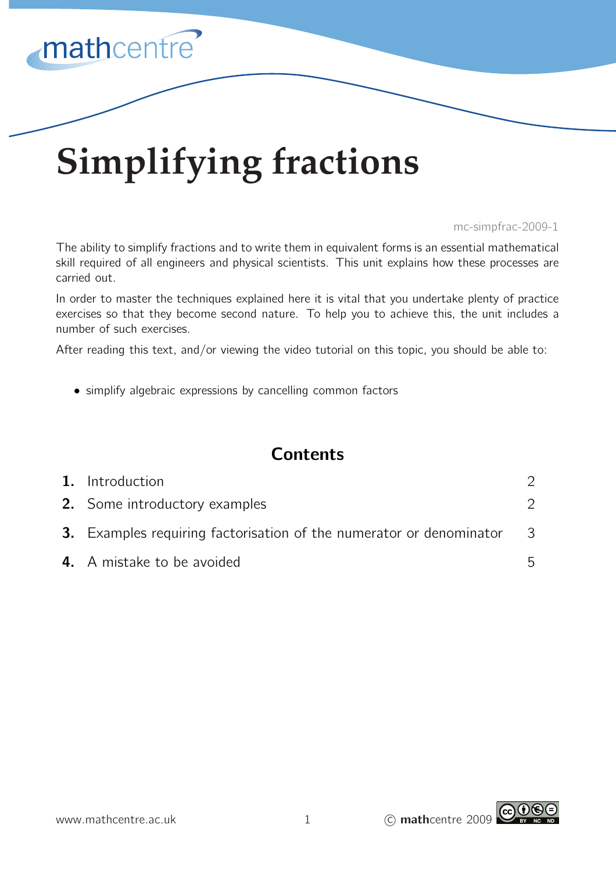# **Simplifying fractions**

mathcentre

#### mc-simpfrac-2009-1

The ability to simplify fractions and to write them in equivalent forms is an essential mathematical skill required of all engineers and physical scientists. This unit explains how these processes are carried out.

In order to master the techniques explained here it is vital that you undertake plenty of practice exercises so that they become second nature. To help you to achieve this, the unit includes a number of such exercises.

After reading this text, and/or viewing the video tutorial on this topic, you should be able to:

• simplify algebraic expressions by cancelling common factors

## **Contents**

| 1. Introduction                                                            |  |
|----------------------------------------------------------------------------|--|
| <b>2.</b> Some introductory examples                                       |  |
| <b>3.</b> Examples requiring factorisation of the numerator or denominator |  |
| 4. A mistake to be avoided                                                 |  |

www.mathcentre.ac.uk 1 C mathcentre 2009

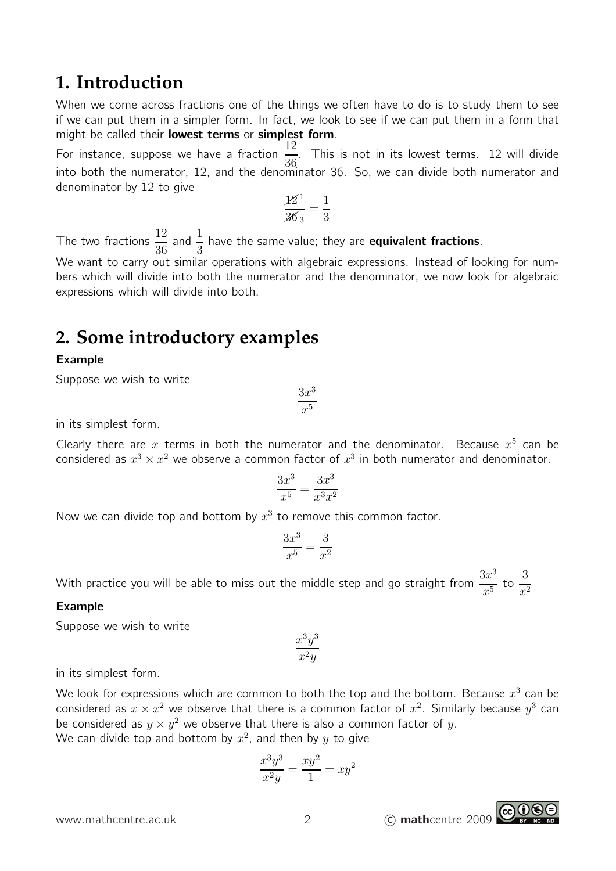## **1. Introduction**

When we come across fractions one of the things we often have to do is to study them to see if we can put them in a simpler form. In fact, we look to see if we can put them in a form that might be called their lowest terms or simplest form.

For instance, suppose we have a fraction  $\frac{12}{36}$ 36 . This is not in its lowest terms. 12 will divide into both the numerator, 12, and the denominator 36. So, we can divide both numerator and denominator by 12 to give

$$
\frac{\cancel{12}^1}{\cancel{36}_3} = \frac{1}{3}
$$

The two fractions  $\frac{12}{36}$ 36 and  $\frac{1}{2}$ 3 have the same value; they are equivalent fractions. We want to carry out similar operations with algebraic expressions. Instead of looking for numbers which will divide into both the numerator and the denominator, we now look for algebraic expressions which will divide into both.

## **2. Some introductory examples**

### Example

Suppose we wish to write

in its simplest form.

Clearly there are x terms in both the numerator and the denominator. Because  $x^5$  can be considered as  $x^3 \times x^2$  we observe a common factor of  $x^3$  in both numerator and denominator.

 $3x^3$  $\overline{x^5}$ 

$$
\frac{3x^3}{x^5} = \frac{3x^3}{x^3x^2}
$$

Now we can divide top and bottom by  $x^3$  to remove this common factor.

$$
\frac{3x^3}{x^5} = \frac{3}{x^2}
$$

With practice you will be able to miss out the middle step and go straight from  $\frac{3x^3}{5}$  $\frac{3x^3}{x^5}$  to  $\frac{3}{x^2}$  $\overline{x^2}$ 

#### Example

Suppose we wish to write

$$
\frac{x^3y^3}{x^2y}
$$

in its simplest form.

We look for expressions which are common to both the top and the bottom. Because  $x^3$  can be considered as  $x \times x^2$  we observe that there is a common factor of  $x^2$ . Similarly because  $y^3$  can be considered as  $y \times y^2$  we observe that there is also a common factor of  $y$ . We can divide top and bottom by  $x^2$ , and then by  $y$  to give

$$
\frac{x^3y^3}{x^2y} = \frac{xy^2}{1} = xy^2
$$

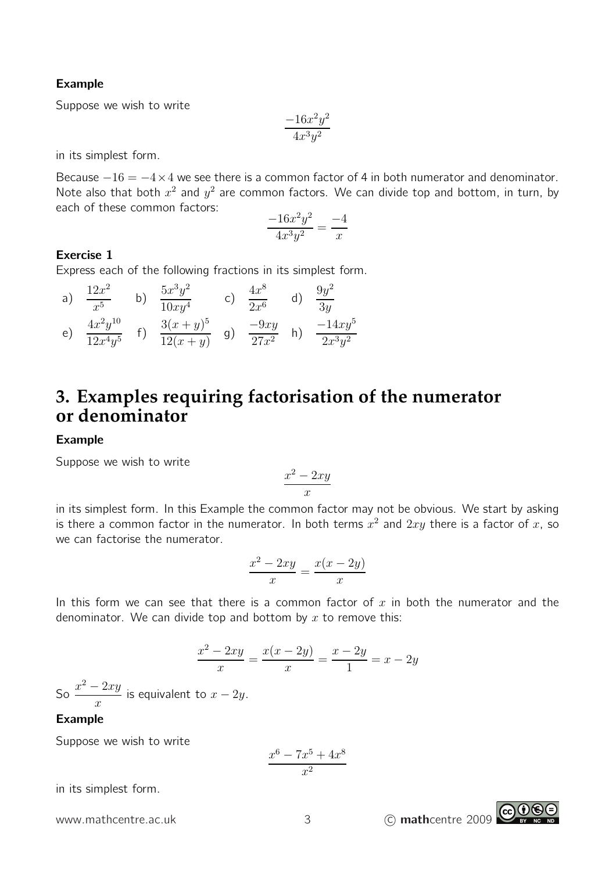#### Example

Suppose we wish to write

$$
\frac{-16x^2y^2}{4x^3y^2}
$$

in its simplest form.

Because  $-16 = -4 \times 4$  we see there is a common factor of 4 in both numerator and denominator. Note also that both  $x^2$  and  $y^2$  are common factors. We can divide top and bottom, in turn, by each of these common factors:

$$
\frac{-16x^2y^2}{4x^3y^2} = \frac{-4}{x}
$$

#### Exercise 1

Express each of the following fractions in its simplest form.

a) 
$$
\frac{12x^2}{x^5}
$$
 b)  $\frac{5x^3y^2}{10xy^4}$  c)  $\frac{4x^8}{2x^6}$  d)  $\frac{9y^2}{3y}$   
e)  $\frac{4x^2y^{10}}{12x^4y^5}$  f)  $\frac{3(x+y)^5}{12(x+y)}$  g)  $\frac{-9xy}{27x^2}$  h)  $\frac{-14xy^5}{2x^3y^2}$ 

## **3. Examples requiring factorisation of the numerator or denominator**

#### Example

Suppose we wish to write

$$
\frac{x^2 - 2xy}{x}
$$

in its simplest form. In this Example the common factor may not be obvious. We start by asking is there a common factor in the numerator. In both terms  $x^2$  and  $2xy$  there is a factor of  $x$ , so we can factorise the numerator.

$$
\frac{x^2 - 2xy}{x} = \frac{x(x - 2y)}{x}
$$

In this form we can see that there is a common factor of x in both the numerator and the denominator. We can divide top and bottom by x to remove this:

$$
\frac{x^2 - 2xy}{x} = \frac{x(x - 2y)}{x} = \frac{x - 2y}{1} = x - 2y
$$

So  $\frac{x^2-2xy}{x}$  $\boldsymbol{x}$ is equivalent to  $x - 2y$ .

#### Example

Suppose we wish to write

$$
\frac{x^6 - 7x^5 + 4x^8}{x^2}
$$

in its simplest form.

www.mathcentre.ac.uk 3 c mathcentre 2009

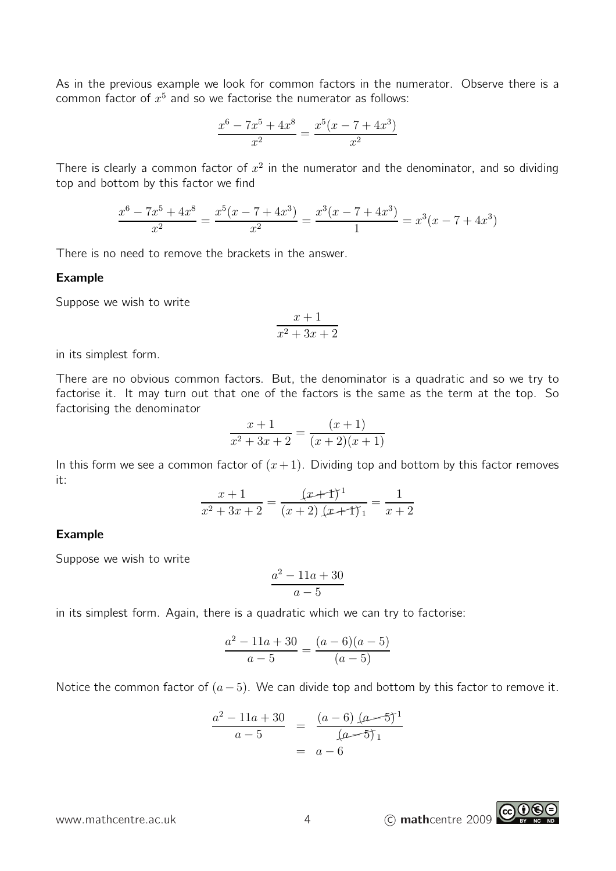As in the previous example we look for common factors in the numerator. Observe there is a common factor of  $x^5$  and so we factorise the numerator as follows:

$$
\frac{x^6 - 7x^5 + 4x^8}{x^2} = \frac{x^5(x - 7 + 4x^3)}{x^2}
$$

There is clearly a common factor of  $x^2$  in the numerator and the denominator, and so dividing top and bottom by this factor we find

$$
\frac{x^6 - 7x^5 + 4x^8}{x^2} = \frac{x^5(x - 7 + 4x^3)}{x^2} = \frac{x^3(x - 7 + 4x^3)}{1} = x^3(x - 7 + 4x^3)
$$

There is no need to remove the brackets in the answer.

#### Example

Suppose we wish to write

$$
\frac{x+1}{x^2+3x+2}
$$

in its simplest form.

There are no obvious common factors. But, the denominator is a quadratic and so we try to factorise it. It may turn out that one of the factors is the same as the term at the top. So factorising the denominator

$$
\frac{x+1}{x^2+3x+2} = \frac{(x+1)}{(x+2)(x+1)}
$$

In this form we see a common factor of  $(x+1)$ . Dividing top and bottom by this factor removes it:

$$
\frac{x+1}{x^2+3x+2} = \frac{(x+1)^2}{(x+2)(x+1)^2} = \frac{1}{x+2}
$$

#### Example

Suppose we wish to write

$$
\frac{a^2 - 11a + 30}{a - 5}
$$

in its simplest form. Again, there is a quadratic which we can try to factorise:

$$
\frac{a^2 - 11a + 30}{a - 5} = \frac{(a - 6)(a - 5)}{(a - 5)}
$$

Notice the common factor of  $(a-5)$ . We can divide top and bottom by this factor to remove it.

$$
\frac{a^2 - 11a + 30}{a - 5} = \frac{(a - 6)(a - 5)^1}{(a - 5)1}
$$

$$
= a - 6
$$

www.mathcentre.ac.uk  $\begin{array}{ccc} 4 & \text{(c) }\text{math} \end{array}$  (C)  $\begin{array}{ccc} \text{math} & \text{(d) } \text{(e)} \end{array}$ 

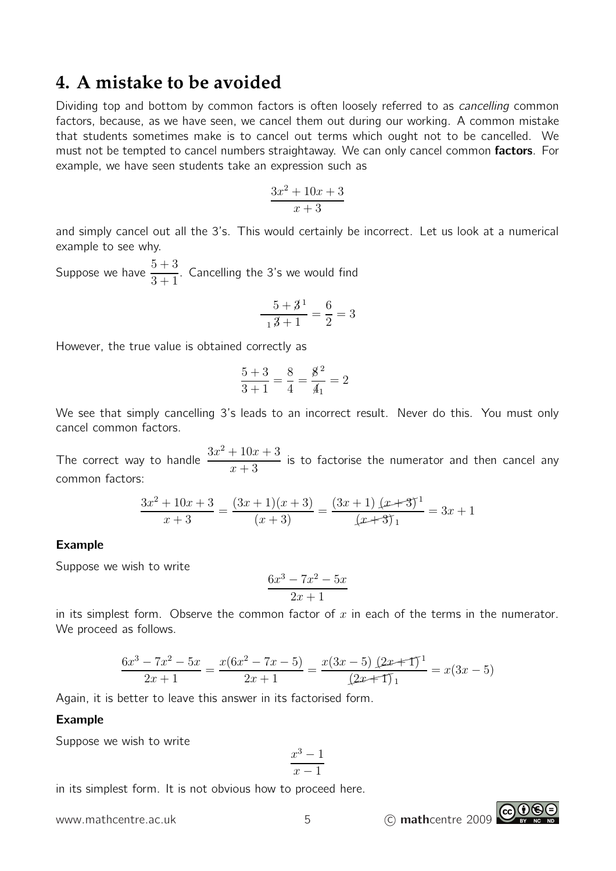## **4. A mistake to be avoided**

Dividing top and bottom by common factors is often loosely referred to as cancelling common factors, because, as we have seen, we cancel them out during our working. A common mistake that students sometimes make is to cancel out terms which ought not to be cancelled. We must not be tempted to cancel numbers straightaway. We can only cancel common **factors**. For example, we have seen students take an expression such as

$$
\frac{3x^2+10x+3}{x+3}
$$

and simply cancel out all the 3's. This would certainly be incorrect. Let us look at a numerical example to see why.

Suppose we have  $\frac{5+3}{3+1}$  $3 + 1$ . Cancelling the 3's we would find

$$
\frac{5+3^1}{13+1} = \frac{6}{2} = 3
$$

However, the true value is obtained correctly as

$$
\frac{5+3}{3+1} = \frac{8}{4} = \frac{8^2}{4_1} = 2
$$

We see that simply cancelling 3's leads to an incorrect result. Never do this. You must only cancel common factors.

The correct way to handle  $\frac{3x^2+10x+3}{x^2+10x+3}$  $x + 3$ is to factorise the numerator and then cancel any common factors:

$$
\frac{3x^2 + 10x + 3}{x+3} = \frac{(3x+1)(x+3)}{(x+3)} = \frac{(3x+1)\cancel{(x+3)}^1}{\cancel{(x+3)}_1} = 3x+1
$$

#### Example

Suppose we wish to write

$$
\frac{6x^3 - 7x^2 - 5x}{2x + 1}
$$

in its simplest form. Observe the common factor of  $x$  in each of the terms in the numerator. We proceed as follows.

$$
\frac{6x^3 - 7x^2 - 5x}{2x + 1} = \frac{x(6x^2 - 7x - 5)}{2x + 1} = \frac{x(3x - 5)(2x + 1)}{(2x + 1)} = x(3x - 5)
$$

Again, it is better to leave this answer in its factorised form.

#### Example

Suppose we wish to write

$$
\frac{x^3-1}{x-1}
$$

in its simplest form. It is not obvious how to proceed here.

www.mathcentre.ac.uk  $\begin{array}{ccc} 5 & \text{(c) } \\ 5 & \text{(d) } \\ 6 & \text{(e) } \\ 7 & \text{(f)} \\ 8 & \text{(g) } \\ 10 & \text{(h)} \\ 11 & \text{(i)} \\ 12 & \text{(ii)} \\ 13 & \text{(iv)} \\ 14 & \text{(v)} \\ 15 & \text{(v)} \\ 16 & \text{(v)} \\ 17 & \text{(v)} \\ 18 & \text{(v)} \\ 19 & \text{(v)} \\ 19 & \text{(v)} \\ 19 & \text{(v)} \\ 19 & \text{(v)} \\ 19 & \text{(v)} \\ 19$